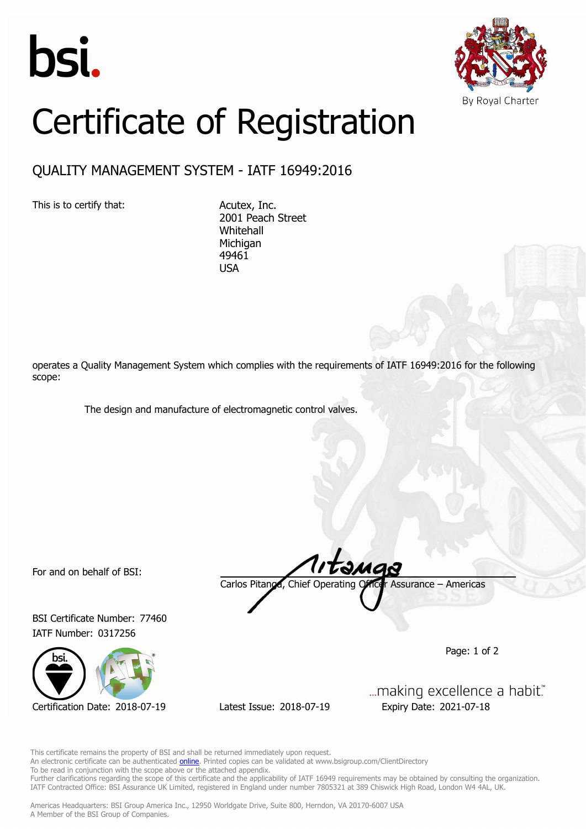



## Certificate of Registration

## QUALITY MANAGEMENT SYSTEM - IATF 16949:2016

This is to certify that: Acutex, Inc.

2001 Peach Street Whitehall **Michigan** 49461 USA

operates a Quality Management System which complies with the requirements of IATF 16949:2016 for the following scope:

The design and manufacture of electromagnetic control valves.

For and on behalf of BSI:

BSI Certificate Number: 77460 IATF Number: 0317256



Certification Date: 2018-07-19 Latest Issue: 2018-07-19 Expiry Date: 2021-07-18

Carlos Pitanga, Chief Operating Officer Assurance – Americas

Page: 1 of 2

... making excellence a habit."

This certificate remains the property of BSI and shall be returned immediately upon request.

An electronic certificate can be authenticated **[online](https://pgplus.bsigroup.com/CertificateValidation/CertificateValidator.aspx?CertificateNumber=TS+77460&ReIssueDate=19%2f07%2f2018&Template=inc)**. Printed copies can be validated at www.bsigroup.com/ClientDirectory

To be read in conjunction with the scope above or the attached appendix.

Further clarifications regarding the scope of this certificate and the applicability of IATF 16949 requirements may be obtained by consulting the organization. IATF Contracted Office: BSI Assurance UK Limited, registered in England under number 7805321 at 389 Chiswick High Road, London W4 4AL, UK.

Americas Headquarters: BSI Group America Inc., 12950 Worldgate Drive, Suite 800, Herndon, VA 20170-6007 USA A Member of the BSI Group of Companies.